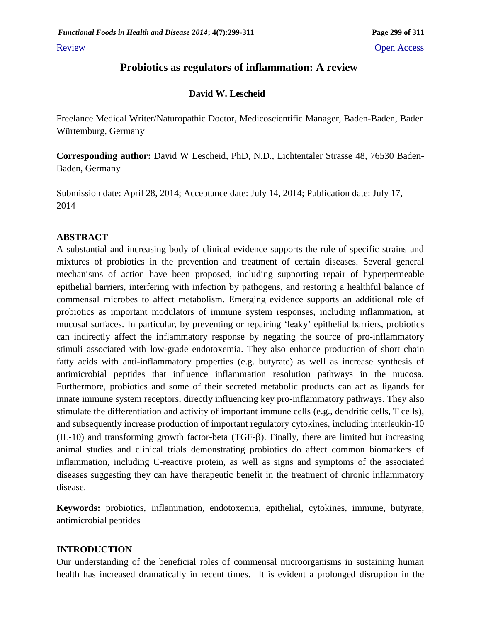# **Probiotics as regulators of inflammation: A review**

### **David W. Lescheid**

Freelance Medical Writer/Naturopathic Doctor, Medicoscientific Manager, Baden-Baden, Baden Würtemburg, Germany

**Corresponding author:** David W Lescheid, PhD, N.D., Lichtentaler Strasse 48, 76530 Baden-Baden, Germany

Submission date: April 28, 2014; Acceptance date: July 14, 2014; Publication date: July 17, 2014

### **ABSTRACT**

A substantial and increasing body of clinical evidence supports the role of specific strains and mixtures of probiotics in the prevention and treatment of certain diseases. Several general mechanisms of action have been proposed, including supporting repair of hyperpermeable epithelial barriers, interfering with infection by pathogens, and restoring a healthful balance of commensal microbes to affect metabolism. Emerging evidence supports an additional role of probiotics as important modulators of immune system responses, including inflammation, at mucosal surfaces. In particular, by preventing or repairing 'leaky' epithelial barriers, probiotics can indirectly affect the inflammatory response by negating the source of pro-inflammatory stimuli associated with low-grade endotoxemia. They also enhance production of short chain fatty acids with anti-inflammatory properties (e.g. butyrate) as well as increase synthesis of antimicrobial peptides that influence inflammation resolution pathways in the mucosa. Furthermore, probiotics and some of their secreted metabolic products can act as ligands for innate immune system receptors, directly influencing key pro-inflammatory pathways. They also stimulate the differentiation and activity of important immune cells (e.g., dendritic cells, T cells), and subsequently increase production of important regulatory cytokines, including interleukin-10  $(IL-10)$  and transforming growth factor-beta  $(TGF- $\beta$ ). Finally, there are limited but increasing$ animal studies and clinical trials demonstrating probiotics do affect common biomarkers of inflammation, including C-reactive protein, as well as signs and symptoms of the associated diseases suggesting they can have therapeutic benefit in the treatment of chronic inflammatory disease.

**Keywords:** probiotics, inflammation, endotoxemia, epithelial, cytokines, immune, butyrate, antimicrobial peptides

## **INTRODUCTION**

Our understanding of the beneficial roles of commensal microorganisms in sustaining human health has increased dramatically in recent times. It is evident a prolonged disruption in the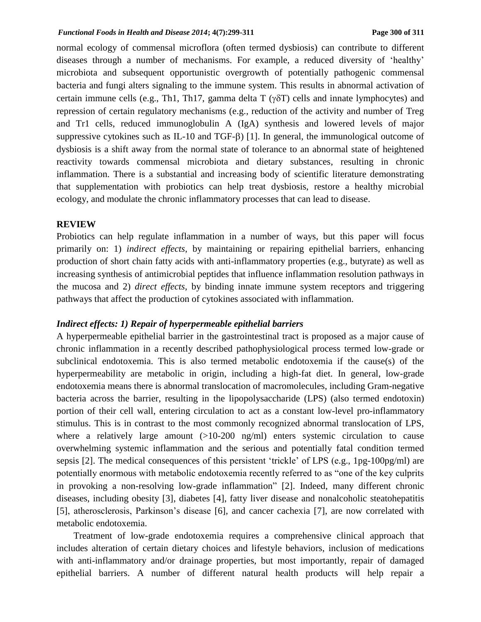#### *Functional Foods in Health and Disease 2014***; 4(7):299-311 Page 300 of 311**

normal ecology of commensal microflora (often termed dysbiosis) can contribute to different diseases through a number of mechanisms. For example, a reduced diversity of 'healthy' microbiota and subsequent opportunistic overgrowth of potentially pathogenic commensal bacteria and fungi alters signaling to the immune system. This results in abnormal activation of certain immune cells (e.g., Th1, Th17, gamma delta  $T$  ( $\gamma \delta T$ ) cells and innate lymphocytes) and repression of certain regulatory mechanisms (e.g., reduction of the activity and number of Treg and Tr1 cells, reduced immunoglobulin A (IgA) synthesis and lowered levels of major suppressive cytokines such as IL-10 and TGF- $\beta$ ) [1]. In general, the immunological outcome of dysbiosis is a shift away from the normal state of tolerance to an abnormal state of heightened reactivity towards commensal microbiota and dietary substances, resulting in chronic inflammation. There is a substantial and increasing body of scientific literature demonstrating that supplementation with probiotics can help treat dysbiosis, restore a healthy microbial ecology, and modulate the chronic inflammatory processes that can lead to disease.

#### **REVIEW**

Probiotics can help regulate inflammation in a number of ways, but this paper will focus primarily on: 1) *indirect effects*, by maintaining or repairing epithelial barriers, enhancing production of short chain fatty acids with anti-inflammatory properties (e.g., butyrate) as well as increasing synthesis of antimicrobial peptides that influence inflammation resolution pathways in the mucosa and 2) *direct effects*, by binding innate immune system receptors and triggering pathways that affect the production of cytokines associated with inflammation.

### *Indirect effects: 1) Repair of hyperpermeable epithelial barriers*

A hyperpermeable epithelial barrier in the gastrointestinal tract is proposed as a major cause of chronic inflammation in a recently described pathophysiological process termed low-grade or subclinical endotoxemia. This is also termed metabolic endotoxemia if the cause(s) of the hyperpermeability are metabolic in origin, including a high-fat diet. In general, low-grade endotoxemia means there is abnormal translocation of macromolecules, including Gram-negative bacteria across the barrier, resulting in the lipopolysaccharide (LPS) (also termed endotoxin) portion of their cell wall, entering circulation to act as a constant low-level pro-inflammatory stimulus. This is in contrast to the most commonly recognized abnormal translocation of LPS, where a relatively large amount  $(>10-200 \text{ ng/ml})$  enters systemic circulation to cause overwhelming systemic inflammation and the serious and potentially fatal condition termed sepsis [2]. The medical consequences of this persistent 'trickle' of LPS (e.g., 1pg-100pg/ml) are potentially enormous with metabolic endotoxemia recently referred to as "one of the key culprits in provoking a non-resolving low-grade inflammation" [2]. Indeed, many different chronic diseases, including obesity [3], diabetes [4], fatty liver disease and nonalcoholic steatohepatitis [5], atherosclerosis, Parkinson's disease [6], and cancer cachexia [7], are now correlated with metabolic endotoxemia.

Treatment of low-grade endotoxemia requires a comprehensive clinical approach that includes alteration of certain dietary choices and lifestyle behaviors, inclusion of medications with anti-inflammatory and/or drainage properties, but most importantly, repair of damaged epithelial barriers. A number of different natural health products will help repair a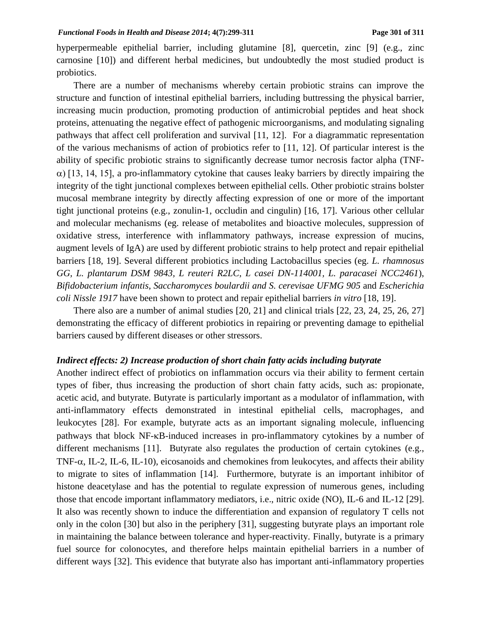hyperpermeable epithelial barrier, including glutamine [8], quercetin, zinc [9] (e.g., zinc carnosine [10]) and different herbal medicines, but undoubtedly the most studied product is probiotics.

There are a number of mechanisms whereby certain probiotic strains can improve the structure and function of intestinal epithelial barriers, including buttressing the physical barrier, increasing mucin production, promoting production of antimicrobial peptides and heat shock proteins, attenuating the negative effect of pathogenic microorganisms, and modulating signaling pathways that affect cell proliferation and survival [11, 12]. For a diagrammatic representation of the various mechanisms of action of probiotics refer to [11, 12]. Of particular interest is the ability of specific probiotic strains to significantly decrease tumor necrosis factor alpha (TNF-  $\alpha$ ) [13, 14, 15], a pro-inflammatory cytokine that causes leaky barriers by directly impairing the integrity of the tight junctional complexes between epithelial cells. Other probiotic strains bolster mucosal membrane integrity by directly affecting expression of one or more of the important tight junctional proteins (e.g., zonulin-1, occludin and cingulin) [16, 17]. Various other cellular and molecular mechanisms (eg. release of metabolites and bioactive molecules, suppression of oxidative stress, interference with inflammatory pathways, increase expression of mucins, augment levels of IgA) are used by different probiotic strains to help protect and repair epithelial barriers [18, 19]. Several different probiotics including Lactobacillus species (eg. *L. rhamnosus GG, L. plantarum DSM 9843, L reuteri R2LC, L casei DN-114001, L. paracasei NCC2461*), *Bifidobacterium infantis*, *Saccharomyces boulardii and S. cerevisae UFMG 905* and *Escherichia coli Nissle 1917* have been shown to protect and repair epithelial barriers *in vitro* [18, 19].

There also are a number of animal studies [20, 21] and clinical trials [22, 23, 24, 25, 26, 27] demonstrating the efficacy of different probiotics in repairing or preventing damage to epithelial barriers caused by different diseases or other stressors.

### *Indirect effects: 2) Increase production of short chain fatty acids including butyrate*

Another indirect effect of probiotics on inflammation occurs via their ability to ferment certain types of fiber, thus increasing the production of short chain fatty acids, such as: propionate, acetic acid, and butyrate. Butyrate is particularly important as a modulator of inflammation, with anti-inflammatory effects demonstrated in intestinal epithelial cells, macrophages, and leukocytes [28]. For example, butyrate acts as an important signaling molecule, influencing pathways that block NF- $\kappa$ B-induced increases in pro-inflammatory cytokines by a number of different mechanisms [11]. Butyrate also regulates the production of certain cytokines (e.g., TNF- $\alpha$ , IL-2, IL-6, IL-10), eicosanoids and chemokines from leukocytes, and affects their ability to migrate to sites of inflammation [14]. Furthermore, butyrate is an important inhibitor of histone deacetylase and has the potential to regulate expression of numerous genes, including those that encode important inflammatory mediators, i.e., nitric oxide (NO), IL-6 and IL-12 [29]. It also was recently shown to induce the differentiation and expansion of regulatory T cells not only in the colon [30] but also in the periphery [31], suggesting butyrate plays an important role in maintaining the balance between tolerance and hyper-reactivity. Finally, butyrate is a primary fuel source for colonocytes, and therefore helps maintain epithelial barriers in a number of different ways [32]. This evidence that butyrate also has important anti-inflammatory properties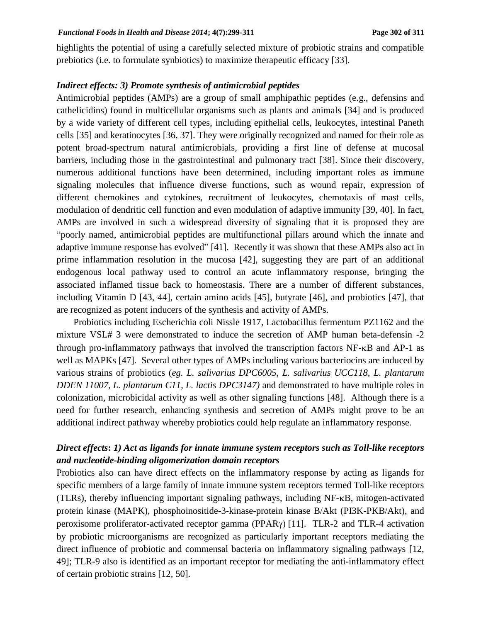highlights the potential of using a carefully selected mixture of probiotic strains and compatible prebiotics (i.e. to formulate synbiotics) to maximize therapeutic efficacy [33].

### *Indirect effects: 3) Promote synthesis of antimicrobial peptides*

Antimicrobial peptides (AMPs) are a group of small amphipathic peptides (e.g., defensins and cathelicidins) found in multicellular organisms such as plants and animals [34] and is produced by a wide variety of different cell types, including epithelial cells, leukocytes, intestinal Paneth cells [35] and keratinocytes [36, 37]. They were originally recognized and named for their role as potent broad-spectrum natural antimicrobials, providing a first line of defense at mucosal barriers, including those in the gastrointestinal and pulmonary tract [38]. Since their discovery, numerous additional functions have been determined, including important roles as immune signaling molecules that influence diverse functions, such as wound repair, expression of different chemokines and cytokines, recruitment of leukocytes, chemotaxis of mast cells, modulation of dendritic cell function and even modulation of adaptive immunity [39, 40]. In fact, AMPs are involved in such a widespread diversity of signaling that it is proposed they are "poorly named, antimicrobial peptides are multifunctional pillars around which the innate and adaptive immune response has evolved" [41]. Recently it was shown that these AMPs also act in prime inflammation resolution in the mucosa [42], suggesting they are part of an additional endogenous local pathway used to control an acute inflammatory response, bringing the associated inflamed tissue back to homeostasis. There are a number of different substances, including Vitamin D [43, 44], certain amino acids [45], butyrate [46], and probiotics [47], that are recognized as potent inducers of the synthesis and activity of AMPs.

Probiotics including Escherichia coli Nissle 1917, Lactobacillus fermentum PZ1162 and the mixture VSL# 3 were demonstrated to induce the secretion of AMP human beta-defensin -2 through pro-inflammatory pathways that involved the transcription factors  $NF$ - $\kappa$ B and  $AP$ -1 as well as MAPKs [47]. Several other types of AMPs including various bacteriocins are induced by various strains of probiotics (*eg. L. salivarius DPC6005, L. salivarius UCC118, L. plantarum DDEN 11007, L. plantarum C11, L. lactis DPC3147)* and demonstrated to have multiple roles in colonization, microbicidal activity as well as other signaling functions [48]. Although there is a need for further research, enhancing synthesis and secretion of AMPs might prove to be an additional indirect pathway whereby probiotics could help regulate an inflammatory response.

# *Direct effects***:** *1) Act as ligands for innate immune system receptors such as Toll-like receptors and nucleotide-binding oligomerization domain receptors*

Probiotics also can have direct effects on the inflammatory response by acting as ligands for specific members of a large family of innate immune system receptors termed Toll-like receptors  $(TLRs)$ , thereby influencing important signaling pathways, including NF- $\kappa$ B, mitogen-activated protein kinase (MAPK), phosphoinositide-3-kinase-protein kinase B/Akt (PI3K-PKB/Akt), and peroxisome proliferator-activated receptor gamma (PPAR $\gamma$ ) [11]. TLR-2 and TLR-4 activation by probiotic microorganisms are recognized as particularly important receptors mediating the direct influence of probiotic and commensal bacteria on inflammatory signaling pathways [12, 49]; TLR-9 also is identified as an important receptor for mediating the anti-inflammatory effect of certain probiotic strains [12, 50].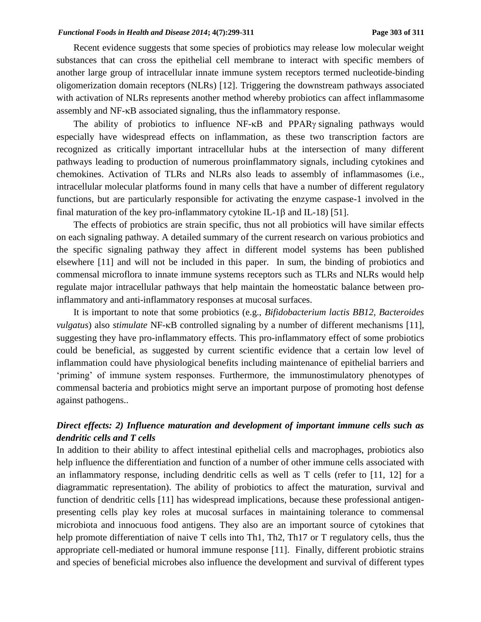Recent evidence suggests that some species of probiotics may release low molecular weight substances that can cross the epithelial cell membrane to interact with specific members of another large group of intracellular innate immune system receptors termed nucleotide-binding oligomerization domain receptors (NLRs) [12]. Triggering the downstream pathways associated with activation of NLRs represents another method whereby probiotics can affect inflammasome assembly and NF- $\kappa$ B associated signaling, thus the inflammatory response.

The ability of probiotics to influence  $NF-\kappa B$  and  $PPAR\gamma$  signaling pathways would especially have widespread effects on inflammation, as these two transcription factors are recognized as critically important intracellular hubs at the intersection of many different pathways leading to production of numerous proinflammatory signals, including cytokines and chemokines. Activation of TLRs and NLRs also leads to assembly of inflammasomes (i.e., intracellular molecular platforms found in many cells that have a number of different regulatory functions, but are particularly responsible for activating the enzyme caspase-1 involved in the final maturation of the key pro-inflammatory cytokine IL-1 $\beta$  and IL-18) [51].

The effects of probiotics are strain specific, thus not all probiotics will have similar effects on each signaling pathway. A detailed summary of the current research on various probiotics and the specific signaling pathway they affect in different model systems has been published elsewhere [11] and will not be included in this paper. In sum, the binding of probiotics and commensal microflora to innate immune systems receptors such as TLRs and NLRs would help regulate major intracellular pathways that help maintain the homeostatic balance between proinflammatory and anti-inflammatory responses at mucosal surfaces.

It is important to note that some probiotics (e.g., *Bifidobacterium lactis BB12, Bacteroides vulgatus*) also *stimulate* NF- $\kappa$ B controlled signaling by a number of different mechanisms [11], suggesting they have pro-inflammatory effects. This pro-inflammatory effect of some probiotics could be beneficial, as suggested by current scientific evidence that a certain low level of inflammation could have physiological benefits including maintenance of epithelial barriers and 'priming' of immune system responses. Furthermore, the immunostimulatory phenotypes of commensal bacteria and probiotics might serve an important purpose of promoting host defense against pathogens..

# *Direct effects: 2) Influence maturation and development of important immune cells such as dendritic cells and T cells*

In addition to their ability to affect intestinal epithelial cells and macrophages, probiotics also help influence the differentiation and function of a number of other immune cells associated with an inflammatory response, including dendritic cells as well as T cells (refer to [11, 12] for a diagrammatic representation). The ability of probiotics to affect the maturation, survival and function of dendritic cells [11] has widespread implications, because these professional antigenpresenting cells play key roles at mucosal surfaces in maintaining tolerance to commensal microbiota and innocuous food antigens. They also are an important source of cytokines that help promote differentiation of naive T cells into Th1, Th2, Th17 or T regulatory cells, thus the appropriate cell-mediated or humoral immune response [11]. Finally, different probiotic strains and species of beneficial microbes also influence the development and survival of different types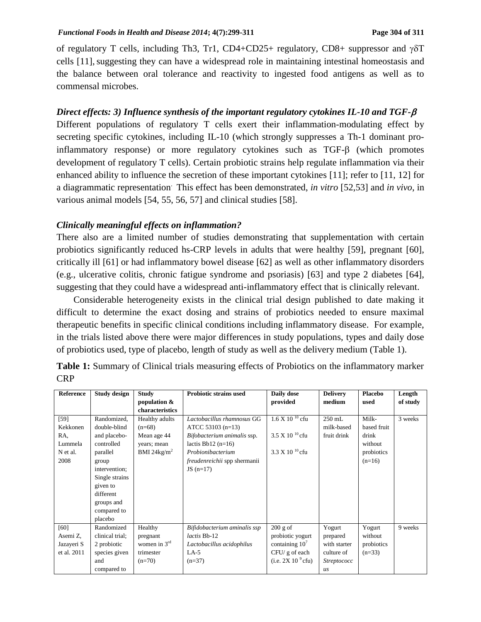of regulatory T cells, including Th3, Tr1, CD4+CD25+ regulatory, CD8+ suppressor and  $\gamma \delta T$ cells [11],suggesting they can have a widespread role in maintaining intestinal homeostasis and the balance between oral tolerance and reactivity to ingested food antigens as well as to commensal microbes.

# *Direct effects: 3) Influence synthesis of the important regulatory cytokines IL-10 and TGF-*

Different populations of regulatory T cells exert their inflammation-modulating effect by secreting specific cytokines, including IL-10 (which strongly suppresses a Th-1 dominant proinflammatory response) or more regulatory cytokines such as  $TGF- $\beta$  (which promotes$ development of regulatory T cells). Certain probiotic strains help regulate inflammation via their enhanced ability to influence the secretion of these important cytokines [11]; refer to [11, 12] for a diagrammatic representation. This effect has been demonstrated, *in vitro* [52,53] and *in vivo*, in various animal models [54, 55, 56, 57] and clinical studies [58].

## *Clinically meaningful effects on inflammation?*

There also are a limited number of studies demonstrating that supplementation with certain probiotics significantly reduced hs-CRP levels in adults that were healthy [59], pregnant [60], critically ill [61] or had inflammatory bowel disease [62] as well as other inflammatory disorders (e.g., ulcerative colitis, chronic fatigue syndrome and psoriasis) [63] and type 2 diabetes [64], suggesting that they could have a widespread anti-inflammatory effect that is clinically relevant.

Considerable heterogeneity exists in the clinical trial design published to date making it difficult to determine the exact dosing and strains of probiotics needed to ensure maximal therapeutic benefits in specific clinical conditions including inflammatory disease. For example, in the trials listed above there were major differences in study populations, types and daily dose of probiotics used, type of placebo, length of study as well as the delivery medium (Table 1).

| Reference   | <b>Study design</b> | <b>Study</b>    | <b>Probiotic strains used</b>       | Daily dose                | <b>Delivery</b>    | <b>Placebo</b> | Length   |
|-------------|---------------------|-----------------|-------------------------------------|---------------------------|--------------------|----------------|----------|
|             |                     | population &    |                                     | provided                  | medium             | used           | of study |
|             |                     | characteristics |                                     |                           |                    |                |          |
| $[59]$      | Randomized,         | Healthy adults  | Lactobacillus rhamnosus GG          | $1.6 \times 10^{-10}$ cfu | $250$ mL           | Milk-          | 3 weeks  |
| Kekkonen    | double-blind        | $(n=68)$        | ATCC 53103 $(n=13)$                 |                           | milk-based         | based fruit    |          |
| RA.         | and placebo-        | Mean age 44     | Bifobacterium animalis ssp.         | $3.5 \times 10^{-10}$ cfu | fruit drink        | drink          |          |
| Lummela     | controlled          | years; mean     | lactis Bb12 $(n=16)$                |                           |                    | without        |          |
| N et al.    | parallel            | BMI 24 $kg/m2$  | Probionibacterium                   | $3.3 \times 10^{-10}$ cfu |                    | probiotics     |          |
| 2008        | group               |                 | <i>freudenreichii</i> spp shermanii |                           |                    | $(n=16)$       |          |
|             | intervention;       |                 | $JS(n=17)$                          |                           |                    |                |          |
|             | Single strains      |                 |                                     |                           |                    |                |          |
|             | given to            |                 |                                     |                           |                    |                |          |
|             | different           |                 |                                     |                           |                    |                |          |
|             | groups and          |                 |                                     |                           |                    |                |          |
|             | compared to         |                 |                                     |                           |                    |                |          |
|             | placebo             |                 |                                     |                           |                    |                |          |
| [60]        | Randomized          | Healthy         | Bifidobacterium aminalis ssp        | $200$ g of                | Yogurt             | Yogurt         | 9 weeks  |
| Asemi Z,    | clinical trial;     | pregnant        | lactis Bb-12                        | probiotic yogurt          | prepared           | without        |          |
| Jazayeri S  | 2 probiotic         | women in $3rd$  | Lactobacillus acidophilus           | containing $107$          | with starter       | probiotics     |          |
| et al. 2011 | species given       | trimester       | $LA-5$                              | CFU/g of each             | culture of         | $(n=33)$       |          |
|             | and                 | $(n=70)$        | $(n=37)$                            | (i.e. $2X 10^9$ cfu)      | <i>Streptococc</i> |                |          |
|             | compared to         |                 |                                     |                           | $\overline{u}$ s   |                |          |

**Table 1:** Summary of Clinical trials measuring effects of Probiotics on the inflammatory marker CRP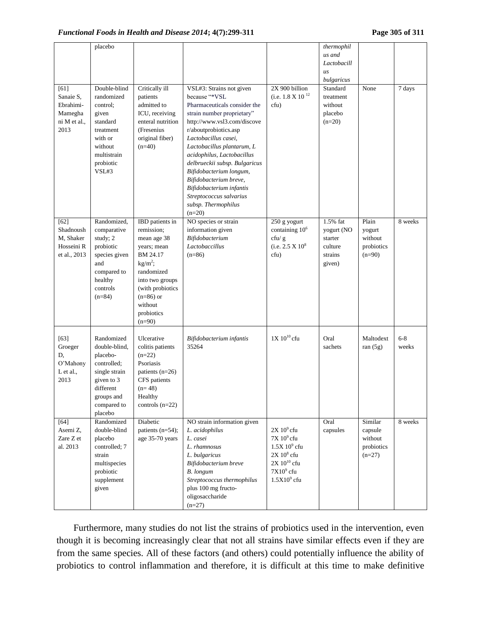|                                                                   | placebo                                                                                                                                    |                                                                                                                                                                                                       |                                                                                                                                                                                                                                                                                                                                                                                                                                     |                                                                                                                          | thermophil<br>us and<br>Lactobacill<br>$\overline{u}$ s<br>bulgaricus |                                                         |                  |
|-------------------------------------------------------------------|--------------------------------------------------------------------------------------------------------------------------------------------|-------------------------------------------------------------------------------------------------------------------------------------------------------------------------------------------------------|-------------------------------------------------------------------------------------------------------------------------------------------------------------------------------------------------------------------------------------------------------------------------------------------------------------------------------------------------------------------------------------------------------------------------------------|--------------------------------------------------------------------------------------------------------------------------|-----------------------------------------------------------------------|---------------------------------------------------------|------------------|
| [61]<br>Sanaie S,<br>Ebrahimi-<br>Mamegha<br>ni M et al.,<br>2013 | Double-blind<br>randomized<br>control:<br>given<br>standard<br>treatment<br>with or<br>without<br>multistrain<br>probiotic<br>VSL#3        | Critically ill<br>patients<br>admitted to<br>ICU, receiving<br>enteral nutrition<br>(Fresenius<br>original fiber)<br>$(n=40)$                                                                         | VSL#3: Strains not given<br>because "*VSL<br>Pharmaceuticals consider the<br>strain number proprietary"<br>http://www.vsl3.com/discove<br>r/aboutprobiotics.asp<br>Lactobacillus casei,<br>Lactobacillus plantarum, L<br>acidophilus, Lactobacillus<br>delbrueckii subsp. Bulgaricus<br>Bifidobacterium longum,<br>Bifidobacterium breve,<br>Bifidobacterium infantis<br>Streptococcus salvarius<br>subsp. Thermophilus<br>$(n=20)$ | 2X 900 billion<br>(i.e. $1.8 \times 10^{-12}$ )<br>cfu)                                                                  | Standard<br>treatment<br>without<br>placebo<br>$(n=20)$               | None                                                    | 7 days           |
| [62]<br>Shadnoush<br>M, Shaker<br>Hosseini R<br>et al., 2013      | Randomized,<br>comparative<br>study; 2<br>probiotic<br>species given<br>and<br>compared to<br>healthy<br>controls<br>$(n=84)$              | <b>IBD</b> patients in<br>remission;<br>mean age 38<br>vears; mean<br>BM 24.17<br>$kg/m^2$ ;<br>randomized<br>into two groups<br>(with probiotics<br>$(n=86)$ or<br>without<br>probiotics<br>$(n=90)$ | NO species or strain<br>information given<br>Bifidobacterium<br>Lactobaccillus<br>$(n=86)$                                                                                                                                                                                                                                                                                                                                          | 250 g yogurt<br>containing 10 <sup>6</sup><br>cfu/g<br>(i.e. $2.5 \times 10^8$<br>cfu)                                   | 1.5% fat<br>yogurt (NO<br>starter<br>culture<br>strains<br>given)     | Plain<br>yogurt<br>without<br>probiotics<br>$(n=90)$    | 8 weeks          |
| $[63]$<br>Groeger<br>D,<br>O'Mahony<br>L et al.,<br>2013          | Randomized<br>double-blind,<br>placebo-<br>controlled;<br>single strain<br>given to 3<br>different<br>groups and<br>compared to<br>placebo | Ulcerative<br>colitis patients<br>$(n=22)$<br>Psoriasis<br>patients $(n=26)$<br>CFS patients<br>$(n=48)$<br>Healthy<br>controls $(n=22)$                                                              | Bifidobacterium infantis<br>35264                                                                                                                                                                                                                                                                                                                                                                                                   | $1X 10^{10}$ cfu                                                                                                         | Oral<br>sachets                                                       | Maltodext<br>ran $(5g)$                                 | $6 - 8$<br>weeks |
| $[64]$<br>Asemi Z,<br>Zare Z et<br>al. 2013                       | Randomized<br>double-blind<br>placebo<br>controlled; 7<br>strain<br>multispecies<br>probiotic<br>supplement<br>given                       | Diabetic<br>patients (n=54);<br>age 35-70 years                                                                                                                                                       | NO strain information given<br>L. acidophilus<br>L. casei<br>L. rhamnosus<br>L. bulgaricus<br>Bifidobacterium breve<br><b>B.</b> longum<br>Streptococcus thermophilus<br>plus 100 mg fructo-<br>oligosaccharide<br>$(n=27)$                                                                                                                                                                                                         | $2X 109$ cfu<br>$7X10^9$ cfu<br>$1.5X\,10^9\,$ cfu<br>$2X 108$ cfu<br>$2X$ $10^{10}$ cfu<br>$7X109$ cfu<br>$1.5X109$ cfu | Oral<br>capsules                                                      | Similar<br>capsule<br>without<br>probiotics<br>$(n=27)$ | 8 weeks          |

Furthermore, many studies do not list the strains of probiotics used in the intervention, even though it is becoming increasingly clear that not all strains have similar effects even if they are from the same species. All of these factors (and others) could potentially influence the ability of probiotics to control inflammation and therefore, it is difficult at this time to make definitive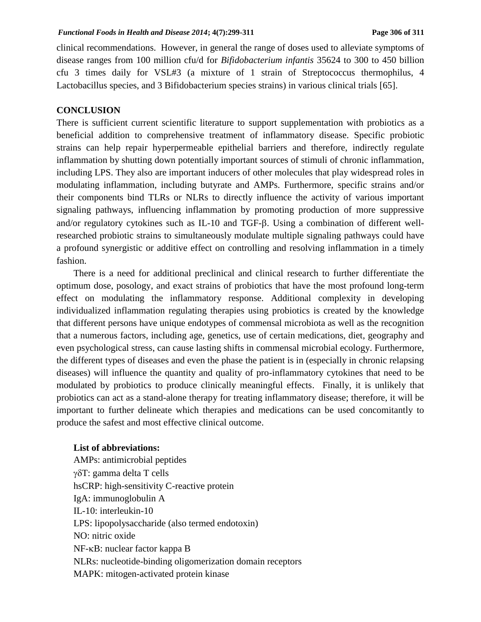clinical recommendations. However, in general the range of doses used to alleviate symptoms of disease ranges from 100 million cfu/d for *Bifidobacterium infantis* 35624 to 300 to 450 billion cfu 3 times daily for VSL#3 (a mixture of 1 strain of Streptococcus thermophilus, 4 Lactobacillus species, and 3 Bifidobacterium species strains) in various clinical trials [65].

### **CONCLUSION**

There is sufficient current scientific literature to support supplementation with probiotics as a beneficial addition to comprehensive treatment of inflammatory disease. Specific probiotic strains can help repair hyperpermeable epithelial barriers and therefore, indirectly regulate inflammation by shutting down potentially important sources of stimuli of chronic inflammation, including LPS. They also are important inducers of other molecules that play widespread roles in modulating inflammation, including butyrate and AMPs. Furthermore, specific strains and/or their components bind TLRs or NLRs to directly influence the activity of various important signaling pathways, influencing inflammation by promoting production of more suppressive and/or regulatory cytokines such as IL-10 and TGF- $\beta$ . Using a combination of different wellresearched probiotic strains to simultaneously modulate multiple signaling pathways could have a profound synergistic or additive effect on controlling and resolving inflammation in a timely fashion.

There is a need for additional preclinical and clinical research to further differentiate the optimum dose, posology, and exact strains of probiotics that have the most profound long-term effect on modulating the inflammatory response. Additional complexity in developing individualized inflammation regulating therapies using probiotics is created by the knowledge that different persons have unique endotypes of commensal microbiota as well as the recognition that a numerous factors, including age, genetics, use of certain medications, diet, geography and even psychological stress, can cause lasting shifts in commensal microbial ecology. Furthermore, the different types of diseases and even the phase the patient is in (especially in chronic relapsing diseases) will influence the quantity and quality of pro-inflammatory cytokines that need to be modulated by probiotics to produce clinically meaningful effects. Finally, it is unlikely that probiotics can act as a stand-alone therapy for treating inflammatory disease; therefore, it will be important to further delineate which therapies and medications can be used concomitantly to produce the safest and most effective clinical outcome.

#### **List of abbreviations:**

AMPs: antimicrobial peptides  $\gamma \delta T$ : gamma delta T cells hsCRP: high-sensitivity C-reactive protein IgA: immunoglobulin A IL-10: interleukin-10 LPS: lipopolysaccharide (also termed endotoxin) NO: nitric oxide  $NF$ - $\kappa B$ : nuclear factor kappa B NLRs: nucleotide-binding oligomerization domain receptors MAPK: mitogen-activated protein kinase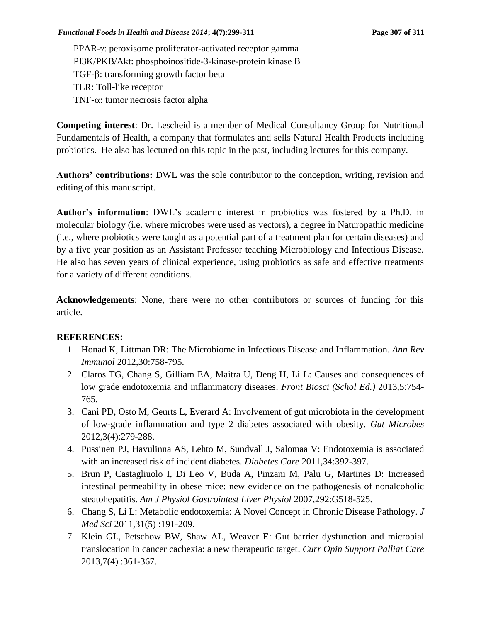PPAR- $\gamma$ : peroxisome proliferator-activated receptor gamma PI3K/PKB/Akt: phosphoinositide-3-kinase-protein kinase B TGF- $\beta$ : transforming growth factor beta TLR: Toll-like receptor TNF- $\alpha$ : tumor necrosis factor alpha

**Competing interest**: Dr. Lescheid is a member of Medical Consultancy Group for Nutritional Fundamentals of Health, a company that formulates and sells Natural Health Products including probiotics. He also has lectured on this topic in the past, including lectures for this company.

**Authors' contributions:** DWL was the sole contributor to the conception, writing, revision and editing of this manuscript.

**Author's information**: DWL's academic interest in probiotics was fostered by a Ph.D. in molecular biology (i.e. where microbes were used as vectors), a degree in Naturopathic medicine (i.e., where probiotics were taught as a potential part of a treatment plan for certain diseases) and by a five year position as an Assistant Professor teaching Microbiology and Infectious Disease. He also has seven years of clinical experience, using probiotics as safe and effective treatments for a variety of different conditions.

**Acknowledgements**: None, there were no other contributors or sources of funding for this article.

## **REFERENCES:**

- 1. Honad K, Littman DR: The Microbiome in Infectious Disease and Inflammation. *Ann Rev Immunol* 2012,30:758-795.
- 2. Claros TG, Chang S, Gilliam EA, Maitra U, Deng H, Li L: Causes and consequences of low grade endotoxemia and inflammatory diseases. *Front Biosci (Schol Ed.)* 2013,5:754- 765.
- 3. Cani PD, Osto M, Geurts L, Everard A: Involvement of gut microbiota in the development of low-grade inflammation and type 2 diabetes associated with obesity. *Gut Microbes* 2012,3(4):279-288.
- 4. Pussinen PJ, Havulinna AS, Lehto M, Sundvall J, Salomaa V: Endotoxemia is associated with an increased risk of incident diabetes. *Diabetes Care* 2011,34:392-397.
- 5. Brun P, Castagliuolo I, Di Leo V, Buda A, Pinzani M, Palu G, Martines D: Increased intestinal permeability in obese mice: new evidence on the pathogenesis of nonalcoholic steatohepatitis. *Am J Physiol Gastrointest Liver Physiol* 2007,292:G518-525.
- 6. Chang S, Li L: Metabolic endotoxemia: A Novel Concept in Chronic Disease Pathology. *J Med Sci* 2011,31(5) :191-209.
- 7. Klein GL, Petschow BW, Shaw AL, Weaver E: Gut barrier dysfunction and microbial translocation in cancer cachexia: a new therapeutic target. *Curr Opin Support Palliat Care* 2013,7(4) :361-367.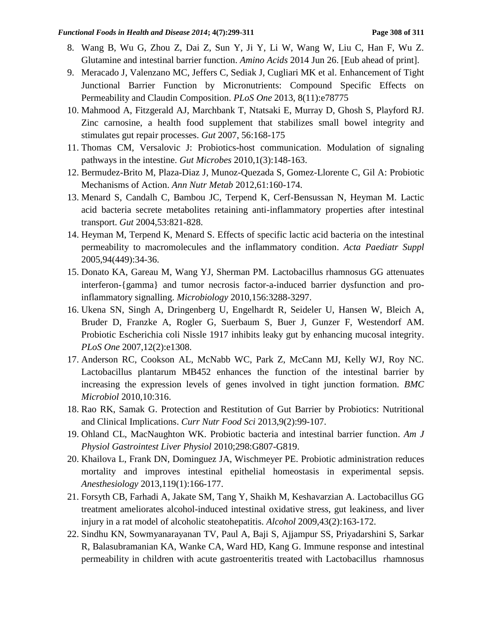- 8. Wang B, Wu G, Zhou Z, Dai Z, Sun Y, Ji Y, Li W, Wang W, Liu C, Han F, Wu Z. Glutamine and intestinal barrier function. *Amino Acids* 2014 Jun 26. [Eub ahead of print].
- 9. Meracado J, Valenzano MC, Jeffers C, Sediak J, Cugliari MK et al. Enhancement of Tight Junctional Barrier Function by Micronutrients: Compound Specific Effects on Permeability and Claudin Composition. *PLoS One* 2013, 8(11):e78775
- 10. Mahmood A, Fitzgerald AJ, Marchbank T, Ntatsaki E, Murray D, Ghosh S, Playford RJ. Zinc carnosine, a health food supplement that stabilizes small bowel integrity and stimulates gut repair processes. *Gut* 2007, 56:168-175
- 11. Thomas CM, Versalovic J: Probiotics-host communication. Modulation of signaling pathways in the intestine. *Gut Microbes* 2010,1(3):148-163.
- 12. Bermudez-Brito M, Plaza-Diaz J, Munoz-Quezada S, Gomez-Llorente C, Gil A: Probiotic Mechanisms of Action. *Ann Nutr Metab* 2012,61:160-174.
- 13. Menard S, Candalh C, Bambou JC, Terpend K, Cerf-Bensussan N, Heyman M. Lactic acid bacteria secrete metabolites retaining anti-inflammatory properties after intestinal transport. *Gut* 2004,53:821-828.
- 14. Heyman M, Terpend K, Menard S. Effects of specific lactic acid bacteria on the intestinal permeability to macromolecules and the inflammatory condition. *Acta Paediatr Suppl* 2005,94(449):34-36.
- 15. Donato KA, Gareau M, Wang YJ, Sherman PM. Lactobacillus rhamnosus GG attenuates interferon-{gamma} and tumor necrosis factor-a-induced barrier dysfunction and proinflammatory signalling. *Microbiology* 2010,156:3288-3297.
- 16. Ukena SN, Singh A, Dringenberg U, Engelhardt R, Seideler U, Hansen W, Bleich A, Bruder D, Franzke A, Rogler G, Suerbaum S, Buer J, Gunzer F, Westendorf AM. Probiotic Escherichia coli Nissle 1917 inhibits leaky gut by enhancing mucosal integrity. *PLoS One* 2007,12(2):e1308.
- 17. Anderson RC, Cookson AL, McNabb WC, Park Z, McCann MJ, Kelly WJ, Roy NC. Lactobacillus plantarum MB452 enhances the function of the intestinal barrier by increasing the expression levels of genes involved in tight junction formation. *BMC Microbiol* 2010,10:316.
- 18. Rao RK, Samak G. Protection and Restitution of Gut Barrier by Probiotics: Nutritional and Clinical Implications. *Curr Nutr Food Sci* 2013,9(2):99-107.
- 19. Ohland CL, MacNaughton WK. Probiotic bacteria and intestinal barrier function. *Am J Physiol Gastrointest Liver Physiol* 2010;298:G807-G819.
- 20. Khailova L, Frank DN, Dominguez JA, Wischmeyer PE. Probiotic administration reduces mortality and improves intestinal epithelial homeostasis in experimental sepsis. *Anesthesiology* 2013,119(1):166-177.
- 21. Forsyth CB, Farhadi A, Jakate SM, Tang Y, Shaikh M, Keshavarzian A. Lactobacillus GG treatment ameliorates alcohol-induced intestinal oxidative stress, gut leakiness, and liver injury in a rat model of alcoholic steatohepatitis. *Alcohol* 2009,43(2):163-172.
- 22. Sindhu KN, Sowmyanarayanan TV, Paul A, Baji S, Ajjampur SS, Priyadarshini S, Sarkar R, Balasubramanian KA, Wanke CA, Ward HD, Kang G. Immune response and intestinal permeability in children with acute gastroenteritis treated with Lactobacillus rhamnosus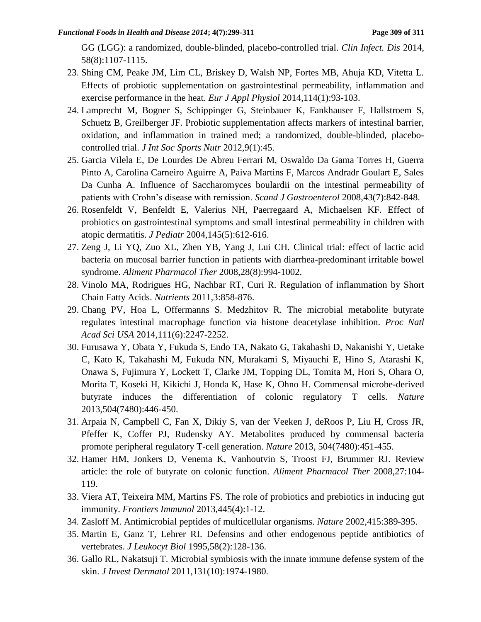GG (LGG): a randomized, double-blinded, placebo-controlled trial. *Clin Infect. Dis* 2014, 58(8):1107-1115.

- 23. Shing CM, Peake JM, Lim CL, Briskey D, Walsh NP, Fortes MB, Ahuja KD, Vitetta L. Effects of probiotic supplementation on gastrointestinal permeability, inflammation and exercise performance in the heat. *Eur J Appl Physiol* 2014,114(1):93-103.
- 24. Lamprecht M, Bogner S, Schippinger G, Steinbauer K, Fankhauser F, Hallstroem S, Schuetz B, Greilberger JF. Probiotic supplementation affects markers of intestinal barrier, oxidation, and inflammation in trained med; a randomized, double-blinded, placebocontrolled trial. *J Int Soc Sports Nutr* 2012,9(1):45.
- 25. Garcia Vilela E, De Lourdes De Abreu Ferrari M, Oswaldo Da Gama Torres H, Guerra Pinto A, Carolina Carneiro Aguirre A, Paiva Martins F, Marcos Andradr Goulart E, Sales Da Cunha A. Influence of Saccharomyces boulardii on the intestinal permeability of patients with Crohn's disease with remission. *Scand J Gastroenterol* 2008,43(7):842-848.
- 26. Rosenfeldt V, Benfeldt E, Valerius NH, Paerregaard A, Michaelsen KF. Effect of probiotics on gastrointestinal symptoms and small intestinal permeability in children with atopic dermatitis. *J Pediatr* 2004,145(5):612-616.
- 27. Zeng J, Li YQ, Zuo XL, Zhen YB, Yang J, Lui CH. Clinical trial: effect of lactic acid bacteria on mucosal barrier function in patients with diarrhea-predominant irritable bowel syndrome. *Aliment Pharmacol Ther* 2008,28(8):994-1002.
- 28. Vinolo MA, Rodrigues HG, Nachbar RT, Curi R. Regulation of inflammation by Short Chain Fatty Acids. *Nutrients* 2011,3:858-876.
- 29. Chang PV, Hoa L, Offermanns S. Medzhitov R. The microbial metabolite butyrate regulates intestinal macrophage function via histone deacetylase inhibition. *Proc Natl Acad Sci USA* 2014,111(6):2247-2252.
- 30. Furusawa Y, Obata Y, Fukuda S, Endo TA, Nakato G, Takahashi D, Nakanishi Y, Uetake C, Kato K, Takahashi M, Fukuda NN, Murakami S, Miyauchi E, Hino S, Atarashi K, Onawa S, Fujimura Y, Lockett T, Clarke JM, Topping DL, Tomita M, Hori S, Ohara O, Morita T, Koseki H, Kikichi J, Honda K, Hase K, Ohno H. Commensal microbe-derived butyrate induces the differentiation of colonic regulatory T cells. *Nature* 2013,504(7480):446-450.
- 31. Arpaia N, Campbell C, Fan X, Dikiy S, van der Veeken J, deRoos P, Liu H, Cross JR, Pfeffer K, Coffer PJ, Rudensky AY. Metabolites produced by commensal bacteria promote peripheral regulatory T-cell generation. *Nature* 2013, 504(7480):451-455.
- 32. Hamer HM, Jonkers D, Venema K, Vanhoutvin S, Troost FJ, Brummer RJ. Review article: the role of butyrate on colonic function. *Aliment Pharmacol Ther* 2008,27:104- 119.
- 33. Viera AT, Teixeira MM, Martins FS. The role of probiotics and prebiotics in inducing gut immunity. *Frontiers Immunol* 2013,445(4):1-12.
- 34. Zasloff M. Antimicrobial peptides of multicellular organisms. *Nature* 2002,415:389-395.
- 35. Martin E, Ganz T, Lehrer RI. Defensins and other endogenous peptide antibiotics of vertebrates. *J Leukocyt Biol* 1995,58(2):128-136.
- 36. Gallo RL, Nakatsuji T. Microbial symbiosis with the innate immune defense system of the skin. *J Invest Dermatol* 2011,131(10):1974-1980.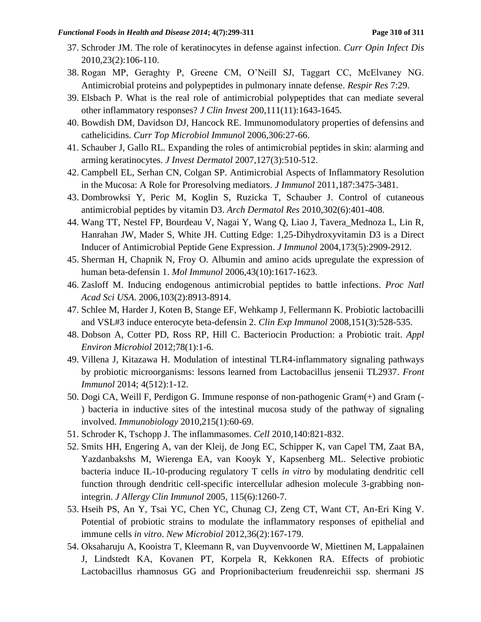- 37. Schroder JM. The role of keratinocytes in defense against infection. *Curr Opin Infect Dis* 2010,23(2):106-110.
- 38. Rogan MP, Geraghty P, Greene CM, O'Neill SJ, Taggart CC, McElvaney NG. Antimicrobial proteins and polypeptides in pulmonary innate defense. *Respir Res* 7:29.
- 39. Elsbach P. What is the real role of antimicrobial polypeptides that can mediate several other inflammatory responses? *J Clin Invest* 200,111(11):1643-1645.
- 40. Bowdish DM, Davidson DJ, Hancock RE. Immunomodulatory properties of defensins and cathelicidins. *Curr Top Microbiol Immunol* 2006,306:27-66.
- 41. Schauber J, Gallo RL. Expanding the roles of antimicrobial peptides in skin: alarming and arming keratinocytes. *J Invest Dermatol* 2007,127(3):510-512.
- 42. Campbell EL, Serhan CN, Colgan SP. Antimicrobial Aspects of Inflammatory Resolution in the Mucosa: A Role for Proresolving mediators. *J Immunol* 2011,187:3475-3481.
- 43. Dombrowksi Y, Peric M, Koglin S, Ruzicka T, Schauber J. Control of cutaneous antimicrobial peptides by vitamin D3. *Arch Dermatol Res* 2010,302(6):401-408.
- 44. Wang TT, Nestel FP, Bourdeau V, Nagai Y, Wang Q, Liao J, Tavera\_Mednoza L, Lin R, Hanrahan JW, Mader S, White JH. Cutting Edge: 1,25-Dihydroxyvitamin D3 is a Direct Inducer of Antimicrobial Peptide Gene Expression. *J Immunol* 2004,173(5):2909-2912.
- 45. Sherman H, Chapnik N, Froy O. Albumin and amino acids upregulate the expression of human beta-defensin 1. *Mol Immunol* 2006,43(10):1617-1623.
- 46. Zasloff M. Inducing endogenous antimicrobial peptides to battle infections. *Proc Natl Acad Sci USA*. 2006,103(2):8913-8914.
- 47. Schlee M, Harder J, Koten B, Stange EF, Wehkamp J, Fellermann K. Probiotic lactobacilli and VSL#3 induce enterocyte beta-defensin 2. *Clin Exp Immunol* 2008,151(3):528-535.
- 48. Dobson A, Cotter PD, Ross RP, Hill C. Bacteriocin Production: a Probiotic trait. *Appl Environ Microbiol* 2012;78(1):1-6.
- 49. Villena J, Kitazawa H. Modulation of intestinal TLR4-inflammatory signaling pathways by probiotic microorganisms: lessons learned from Lactobacillus jensenii TL2937. *Front Immunol* 2014; 4(512):1-12.
- 50. Dogi CA, Weill F, Perdigon G. Immune response of non-pathogenic Gram(+) and Gram (- ) bacteria in inductive sites of the intestinal mucosa study of the pathway of signaling involved. *Immunobiology* 2010,215(1):60-69.
- 51. Schroder K, Tschopp J. The inflammasomes. *Cell* 2010,140:821-832.
- 52. Smits HH, Engering A, van der Kleij, de Jong EC, Schipper K, van Capel TM, Zaat BA, Yazdanbakshs M, Wierenga EA, van Kooyk Y, Kapsenberg ML. Selective probiotic bacteria induce IL-10-producing regulatory T cells *in vitro* by modulating dendritic cell function through dendritic cell-specific intercellular adhesion molecule 3-grabbing nonintegrin. *J Allergy Clin Immunol* 2005, 115(6):1260-7.
- 53. Hseih PS, An Y, Tsai YC, Chen YC, Chunag CJ, Zeng CT, Want CT, An-Eri King V. Potential of probiotic strains to modulate the inflammatory responses of epithelial and immune cells *in vitro*. *New Microbiol* 2012,36(2):167-179.
- 54. Oksaharuju A, Kooistra T, Kleemann R, van Duyvenvoorde W, Miettinen M, Lappalainen J, Lindstedt KA, Kovanen PT, Korpela R, Kekkonen RA. Effects of probiotic Lactobacillus rhamnosus GG and Proprionibacterium freudenreichii ssp. shermani JS